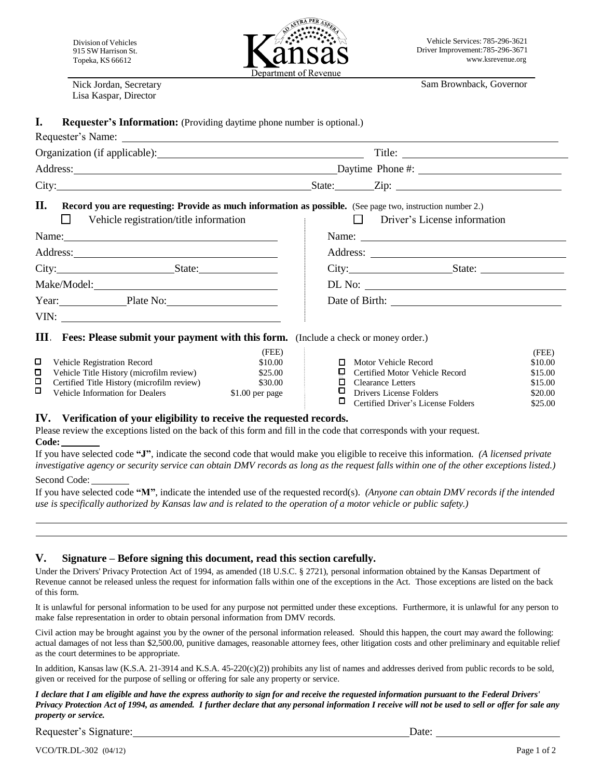Nick Jordan, Secretary Lisa Kaspar, Director



Sam Brownback, Governor

#### **I. Requester's Information:** (Providing daytime phone number is optional.)

### Requester's Name:

| Organization (if applicable): | Title: |
|-------------------------------|--------|
|                               |        |

| ____<br>Address<br>.UDD | <b>Davtime</b> | Phone#:                         |
|-------------------------|----------------|---------------------------------|
| City:                   | tate           | $\overline{\phantom{a}}$<br>ΖIJ |

# **II. Record you are requesting: Provide as much information as possible.** (See page two, instruction number 2.)

| Vehicle registration/title information                                                                                                                                                                                        | Driver's License information |
|-------------------------------------------------------------------------------------------------------------------------------------------------------------------------------------------------------------------------------|------------------------------|
| Name: Name and the second contract of the second contract of the second contract of the second contract of the second contract of the second contract of the second contract of the second contract of the second contract of |                              |
| Address: No. 1998                                                                                                                                                                                                             |                              |
| City: State:                                                                                                                                                                                                                  | City: State:                 |
|                                                                                                                                                                                                                               |                              |
| Year: Plate No:                                                                                                                                                                                                               |                              |
|                                                                                                                                                                                                                               |                              |
|                                                                                                                                                                                                                               |                              |

# **III . Fees: Please submit your payment with this form.** (Include a check or money order.)

|   |                                            | (FEE)            |   |                                       | (PLE)   |
|---|--------------------------------------------|------------------|---|---------------------------------------|---------|
|   | <b>Vehicle Registration Record</b>         | \$10.00          |   | <b>D</b> Motor Vehicle Record         | \$10.00 |
| 0 | Vehicle Title History (microfilm review)   | \$25.00          |   | $\Box$ Certified Motor Vehicle Record | \$15.00 |
|   | Certified Title History (microfilm review) | \$30.00          | п | Clearance Letters                     | \$15.00 |
| □ | Vehicle Information for Dealers            | $$1.00$ per page |   | Drivers License Folders               | \$20.00 |
|   |                                            |                  |   |                                       |         |

| Motor Vehicle Record                 | \$10.00 |
|--------------------------------------|---------|
| Certified Motor Vehicle Record       | \$15.00 |
| $\Box$ Clearance Letters             | \$15.00 |
| Drivers License Folders              | \$20.00 |
| □ Certified Driver's License Folders | \$25.00 |
|                                      |         |

## **IV. Verification of your eligibility to receive the requested records.**

Please review the exceptions listed on the back of this form and fill in the code that corresponds with your request. **Code:** 

 $(TPTD)$ 

If you have selected code **"J"**, indicate the second code that would make you eligible to receive this information. *(A licensed private investigative agency or security service can obtain DMV records as long as the request falls within one of the other exceptions listed.)* Second Code:

If you have selected code **"M"**, indicate the intended use of the requested record(s). *(Anyone can obtain DMV records if the intended use is specifically authorized by Kansas law and is related to the operation of a motor vehicle or public safety.)*

## **V. Signature – Before signing this document, read this section carefully.**

Under the Drivers' Privacy Protection Act of 1994, as amended (18 U.S.C. § 2721), personal information obtained by the Kansas Department of Revenue cannot be released unless the request for information falls within one of the exceptions in the Act. Those exceptions are listed on the back of this form.

It is unlawful for personal information to be used for any purpose not permitted under these exceptions. Furthermore, it is unlawful for any person to make false representation in order to obtain personal information from DMV records.

Civil action may be brought against you by the owner of the personal information released. Should this happen, the court may award the following: actual damages of not less than \$2,500.00, punitive damages, reasonable attorney fees, other litigation costs and other preliminary and equitable relief as the court determines to be appropriate.

In addition, Kansas law (K.S.A. 21-3914 and K.S.A. 45-220(c)(2)) prohibits any list of names and addresses derived from public records to be sold, given or received for the purpose of selling or offering for sale any property or service.

*I declare that I am eligible and have the express authority to sign for and receive the requested information pursuant to the Federal Drivers' Privacy Protection Act of 1994, as amended. I further declare that any personal information I receive will not be used to sell or offer for sale any property or service.*

Requester's Signature: Date: Date:

(FEE)